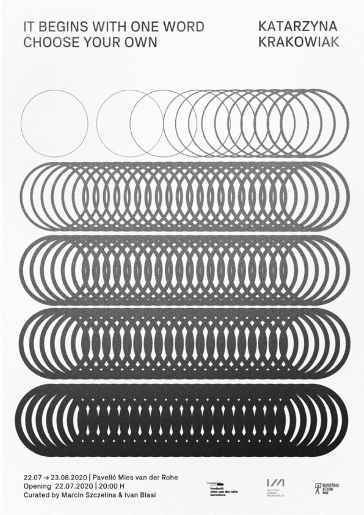## IT BEGINS WITH ONE WORD **CHOOSE YOUR OWN**

**KATARZYNA KRAKOWIAK** 



22.07 → 23.08.2020 | Pavelló Mies van der Rohe Opening 22.07.2020 | 20:00 H Curated by Marcin Szczelina & Ivan Blasi



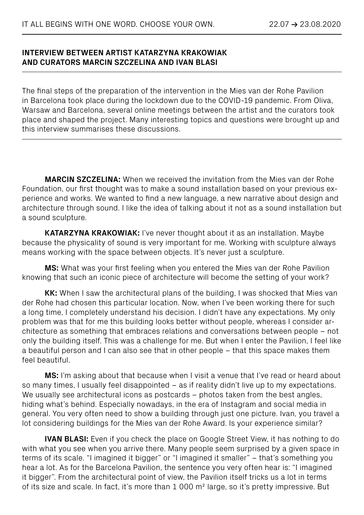## **INTERVIEW BETWEEN ARTIST KATARZYNA KRAKOWIAK AND CURATORS MARCIN SZCZELINA AND IVAN BLASI**

The final steps of the preparation of the intervention in the Mies van der Rohe Pavilion in Barcelona took place during the lockdown due to the COVID-19 pandemic. From Oliva, Warsaw and Barcelona, several online meetings between the artist and the curators took place and shaped the project. Many interesting topics and questions were brought up and this interview summarises these discussions.

**MARCIN SZCZELINA:** When we received the invitation from the Mies van der Rohe Foundation, our first thought was to make a sound installation based on your previous experience and works. We wanted to find a new language, a new narrative about design and architecture through sound. I like the idea of talking about it not as a sound installation but a sound sculpture.

**KATARZYNA KRAKOWIAK:** I've never thought about it as an installation. Maybe because the physicality of sound is very important for me. Working with sculpture always means working with the space between objects. It's never just a sculpture.

**MS:** What was your first feeling when you entered the Mies van der Rohe Pavilion knowing that such an iconic piece of architecture will become the setting of your work?

**KK:** When I saw the architectural plans of the building, I was shocked that Mies van der Rohe had chosen this particular location. Now, when I've been working there for such a long time, I completely understand his decision. I didn't have any expectations. My only problem was that for me this building looks better without people, whereas I consider architecture as something that embraces relations and conversations between people – not only the building itself. This was a challenge for me. But when I enter the Pavilion, I feel like a beautiful person and I can also see that in other people – that this space makes them feel beautiful.

**MS:** I'm asking about that because when I visit a venue that I've read or heard about so many times, I usually feel disappointed – as if reality didn't live up to my expectations. We usually see architectural icons as postcards – photos taken from the best angles, hiding what's behind. Especially nowadays, in the era of Instagram and social media in general. You very often need to show a building through just one picture. Ivan, you travel a lot considering buildings for the Mies van der Rohe Award. Is your experience similar?

**IVAN BLASI:** Even if you check the place on Google Street View, it has nothing to do with what you see when you arrive there. Many people seem surprised by a given space in terms of its scale. "I imagined it bigger" or "I imagined it smaller" – that's something you hear a lot. As for the Barcelona Pavilion, the sentence you very often hear is: "I imagined it bigger". From the architectural point of view, the Pavilion itself tricks us a lot in terms of its size and scale. In fact, it's more than 1 000 m² large, so it's pretty impressive. But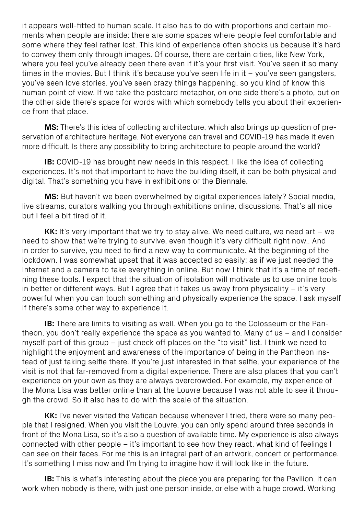it appears well-fitted to human scale. It also has to do with proportions and certain moments when people are inside: there are some spaces where people feel comfortable and some where they feel rather lost. This kind of experience often shocks us because it's hard to convey them only through images. Of course, there are certain cities, like New York, where you feel you've already been there even if it's your first visit. You've seen it so many times in the movies. But I think it's because you've seen life in it – you've seen gangsters, you've seen love stories, you've seen crazy things happening, so you kind of know this human point of view. If we take the postcard metaphor, on one side there's a photo, but on the other side there's space for words with which somebody tells you about their experience from that place.

**MS:** There's this idea of collecting architecture, which also brings up question of preservation of architecture heritage. Not everyone can travel and COVID-19 has made it even more difficult. Is there any possibility to bring architecture to people around the world?

**IB:** COVID-19 has brought new needs in this respect. I like the idea of collecting experiences. It's not that important to have the building itself, it can be both physical and digital. That's something you have in exhibitions or the Biennale.

**MS:** But haven't we been overwhelmed by digital experiences lately? Social media, live streams, curators walking you through exhibitions online, discussions. That's all nice but I feel a bit tired of it.

**KK:** It's very important that we try to stay alive. We need culture, we need art – we need to show that we're trying to survive, even though it's very difficult right now.. And in order to survive, you need to find a new way to communicate. At the beginning of the lockdown, I was somewhat upset that it was accepted so easily: as if we just needed the Internet and a camera to take everything in online. But now I think that it's a time of redefining these tools. I expect that the situation of isolation will motivate us to use online tools in better or different ways. But I agree that it takes us away from physicality – it's very powerful when you can touch something and physically experience the space. I ask myself if there's some other way to experience it.

**IB:** There are limits to visiting as well. When you go to the Colosseum or the Pantheon, you don't really experience the space as you wanted to. Many of us – and I consider myself part of this group – just check off places on the "to visit" list. I think we need to highlight the enjoyment and awareness of the importance of being in the Pantheon instead of just taking selfie there. If you're just interested in that selfie, your experience of the visit is not that far-removed from a digital experience. There are also places that you can't experience on your own as they are always overcrowded. For example, my experience of the Mona Lisa was better online than at the Louvre because I was not able to see it through the crowd. So it also has to do with the scale of the situation.

**KK:** I've never visited the Vatican because whenever I tried, there were so many people that I resigned. When you visit the Louvre, you can only spend around three seconds in front of the Mona Lisa, so it's also a question of available time. My experience is also always connected with other people – it's important to see how they react, what kind of feelings I can see on their faces. For me this is an integral part of an artwork, concert or performance. It's something I miss now and I'm trying to imagine how it will look like in the future.

**IB:** This is what's interesting about the piece you are preparing for the Pavilion. It can work when nobody is there, with just one person inside, or else with a huge crowd. Working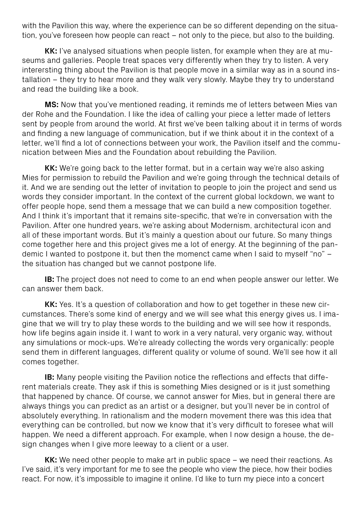with the Pavilion this way, where the experience can be so different depending on the situation, you've foreseen how people can react – not only to the piece, but also to the building.

**KK:** I've analysed situations when people listen, for example when they are at museums and galleries. People treat spaces very differently when they try to listen. A very interersting thing about the Pavilion is that people move in a similar way as in a sound installation – they try to hear more and they walk very slowly. Maybe they try to understand and read the building like a book.

**MS:** Now that you've mentioned reading, it reminds me of letters between Mies van der Rohe and the Foundation. I like the idea of calling your piece a letter made of letters sent by people from around the world. At first we've been talking about it in terms of words and finding a new language of communication, but if we think about it in the context of a letter, we'll find a lot of connections between your work, the Pavilion itself and the communication between Mies and the Foundation about rebuilding the Pavilion.

**KK:** We're going back to the letter format, but in a certain way we're also asking Mies for permission to rebuild the Pavilion and we're going through the technical details of it. And we are sending out the letter of invitation to people to join the project and send us words they consider important. In the context of the current global lockdown, we want to offer people hope, send them a message that we can build a new composition together. And I think it's important that it remains site-specific, that we're in conversation with the Pavilion. After one hundred years, we're asking about Modernism, architectural icon and all of these important words. But it's mainly a question about our future. So many things come together here and this project gives me a lot of energy. At the beginning of the pandemic I wanted to postpone it, but then the momenct came when I said to myself "no" – the situation has changed but we cannot postpone life.

**IB:** The project does not need to come to an end when people answer our letter. We can answer them back.

**KK:** Yes. It's a question of collaboration and how to get together in these new circumstances. There's some kind of energy and we will see what this energy gives us. I imagine that we will try to play these words to the building and we will see how it responds, how life begins again inside it. I want to work in a very natural, very organic way, without any simulations or mock-ups. We're already collecting the words very organically: people send them in different languages, different quality or volume of sound. We'll see how it all comes together.

**IB:** Many people visiting the Pavilion notice the reflections and effects that different materials create. They ask if this is something Mies designed or is it just something that happened by chance. Of course, we cannot answer for Mies, but in general there are always things you can predict as an artist or a designer, but you'll never be in control of absolutely everything. In rationalism and the modern movement there was this idea that everything can be controlled, but now we know that it's very difficult to foresee what will happen. We need a different approach. For example, when I now design a house, the design changes when I give more leeway to a client or a user.

**KK:** We need other people to make art in public space – we need their reactions. As I've said, it's very important for me to see the people who view the piece, how their bodies react. For now, it's impossible to imagine it online. I'd like to turn my piece into a concert